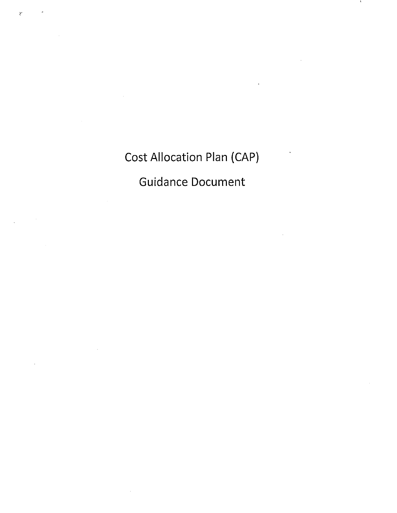Cost Allocation Plan {CAP)

 $\bar{\chi}$ 

Guidance Document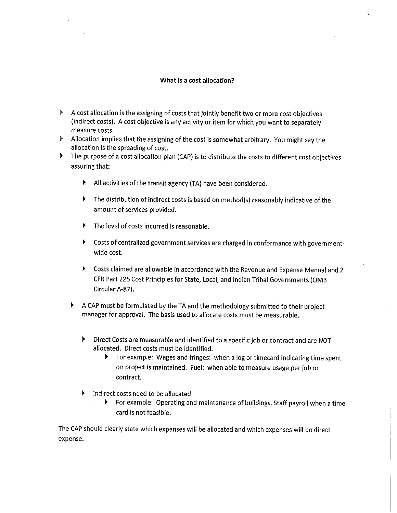## What is a cost allocation?

- ► A cost allocation is the assigning of costs that jointly benefit two or more cost objectives (indirect costs). A cost objective is any activity or item for which you want to separately measure costs.
- ► Allocation implies that the assigning of the cost is somewhat arbitrary. You might say the allocation is the spreading of cost.
- ► The purpose of a cost allocation plan {CAP) is to distribute the costs to different cost objectives assuring that:
	- ► All activities of the transit agency {TA) have been considered.
	- ► The distribution of indirect costs is based on method(s) reasonably indicative of the amount of services provided.
	- $\blacktriangleright$  The level of costs incurred is reasonable.
	- ► Costs of centralized government services are charged in conformance with governmentwide cost.
	- ► Costs claimed are allowable in accordance with the Revenue and Expense Manual and 2 CFR Part 225 Cost Principles for State, Local, and Indian Tribal Governments {0MB Circular A-87).
	- ► A CAP must be formulated by the TA and the methodology submitted to their project manager for approval. The basis used to allocate costs must be measurable.
		- ► Direct Costs are measurable and identified to a specific job or contract and are NOT allocated. Direct costs must be identified.
			- ► For example: Wages and fringes: when a log or timecard indicating time spent on project is maintained. Fuel: when able to measure usage per job or contract.
		- ► Indirect costs need to be allocated.
			- ► For example: Operating and maintenance of buildings, Staff payroll when a time card is not feasible.

The CAP should clearly state which expenses will be allocated and which expenses will be direct expense.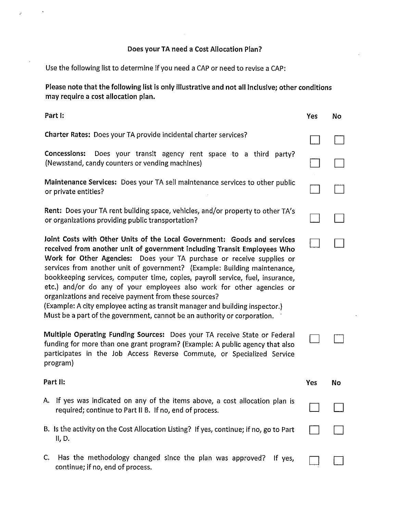# Does your TA need a Cost Allocation Plan?

Use the following list to determine if you need a CAP or need to revise a CAP:

 $\bar{\mathbf{r}}$ 

**Please note that the following list ls only illustrative and not all inclusive; other conditions may require a cost allocation plan.** 

| Part I:                                                                                                                                                                                                                                                                                                                                                                                                                                                                                                                                                                                                                                                                                    | Yes | <b>No</b> |
|--------------------------------------------------------------------------------------------------------------------------------------------------------------------------------------------------------------------------------------------------------------------------------------------------------------------------------------------------------------------------------------------------------------------------------------------------------------------------------------------------------------------------------------------------------------------------------------------------------------------------------------------------------------------------------------------|-----|-----------|
| Charter Rates: Does your TA provide incidental charter services?                                                                                                                                                                                                                                                                                                                                                                                                                                                                                                                                                                                                                           |     |           |
| Concessions:<br>Does your transit agency rent space to a third<br>party?<br>(Newsstand, candy counters or vending machines)                                                                                                                                                                                                                                                                                                                                                                                                                                                                                                                                                                |     |           |
| Maintenance Services: Does your TA sell maintenance services to other public<br>or private entities?                                                                                                                                                                                                                                                                                                                                                                                                                                                                                                                                                                                       |     |           |
| Rent: Does your TA rent building space, vehicles, and/or property to other TA's<br>or organizations providing public transportation?                                                                                                                                                                                                                                                                                                                                                                                                                                                                                                                                                       |     |           |
| Joint Costs with Other Units of the Local Government: Goods and services<br>received from another unit of government including Transit Employees Who<br>Work for Other Agencies: Does your TA purchase or receive supplies or<br>services from another unit of government? (Example: Building maintenance,<br>bookkeeping services, computer time, copies, payroll service, fuel, insurance,<br>etc.) and/or do any of your employees also work for other agencies or<br>organizations and receive payment from these sources?<br>(Example: A city employee acting as transit manager and building inspector.)<br>Must be a part of the government, cannot be an authority or corporation. |     |           |
| Multiple Operating Funding Sources: Does your TA receive State or Federal<br>funding for more than one grant program? (Example: A public agency that also<br>participates in the Job Access Reverse Commute, or Specialized Service<br>program)                                                                                                                                                                                                                                                                                                                                                                                                                                            |     |           |
| Part II:                                                                                                                                                                                                                                                                                                                                                                                                                                                                                                                                                                                                                                                                                   | Yes | <b>No</b> |
| A. If yes was indicated on any of the items above, a cost allocation plan is<br>required; continue to Part II B. If no, end of process.                                                                                                                                                                                                                                                                                                                                                                                                                                                                                                                                                    |     |           |
| B. Is the activity on the Cost Allocation Listing? If yes, continue; if no, go to Part<br>II, D.                                                                                                                                                                                                                                                                                                                                                                                                                                                                                                                                                                                           |     |           |
| Has the methodology changed since the plan was approved?<br>C.<br>If yes,<br>continue; if no, end of process.                                                                                                                                                                                                                                                                                                                                                                                                                                                                                                                                                                              |     |           |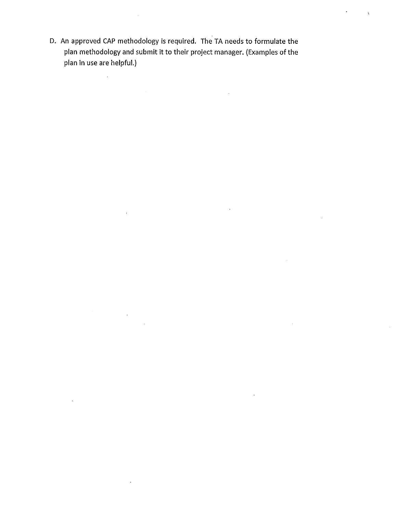D. An approved CAP methodology is required. The TA needs to formulate the plan methodology and submit it to their project manager. (Examples of the plan in use are helpful.)

 $\bar{\mathcal{A}}$ 

 $\mathcal{L}_{\rm{max}}$ 

 $\bar{t}$ 

 $\hat{\mathcal{A}}$ 

ä,

 $\ddot{\phantom{a}}$ 

 $\ddot{\phantom{a}}$ 

 $\overline{\mathbf{r}}$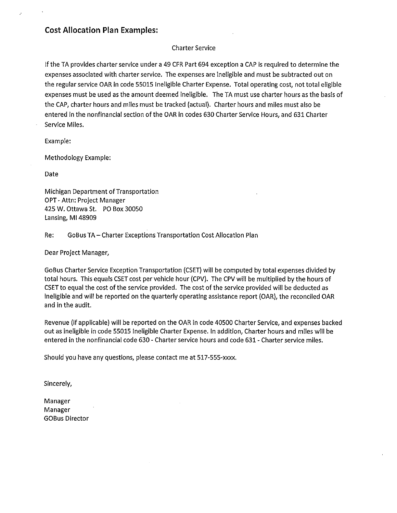# **Cost Allocation Plan Examples:**

# Charter Service

If the TA provides charter service under a 49 CFR Part 694 exception a CAP is required to determine the expenses associated with charter service. The expenses are ineligible and must be subtracted out on the regular service OAR in code 55015 Ineligible Charter Expense. Total operating cost, not total eligible expenses must be used as the amount deemed ineligible. The TA must use charter hours as the basis of the CAP, charter hours and miles must be tracked (actual). Charter hours and miles must also be entered in the nonfinanclal section of the OAR in codes 630 Charter Service Hours, and 631 Charter Service Miles.

Example:

Methodology Example:

Date

Michigan Department of Transportation OPT• Attn: Project Manager 425 W. Ottawa St. PO Box 30050 Lansing, Ml 48909

# Re: GoBus TA-Charter Exceptions Transportation Cost Allocation Plan

Dear Project Manager,

GoBus Charter Service Exception Transportation (CSET) will be computed by total expenses divided by total hours. This equals CSET cost per vehicle hour (CPV). The CPV will be multiplied by the hours of CSET to equal the cost of the service provided. The cost of the service provided will be deducted as ineligible and will be reported on the quarterly operating assistance report (OAR), the reconciled OAR and in the audit.

Revenue (if applicable) will be reported on the OAR in code 40500 Charter Service, and expenses backed out as ineligible in code 55015 Ineligible Charter Expense. In addition, Charter hours and miles will be entered in the nonfinancial code 630 · Charter service hours and code 631 • Charter service miles.

Should you have any questions, please contact me at 517-555-xxxx.

Sincerely,

Manager Manager GOBus Director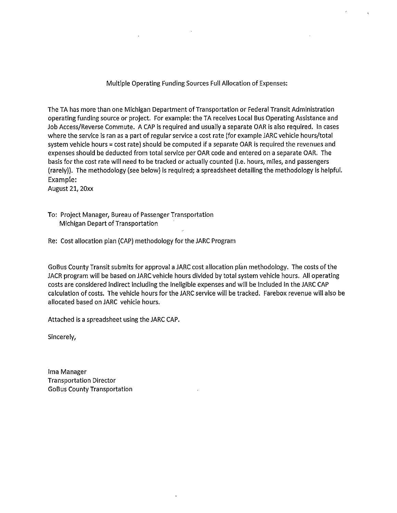Multiple Operating Funding Sources Full Allocation of Expenses:

The TA has more than one Michigan Department of Transportation or Federal Transit Administration operating funding source or project. For example: the TA receives Local Bus Operating Assistance and Job Access/Reverse Commute. A CAP is required and usually a separate OAR is also required. In cases where the service is ran as a part of regular service a cost rate (for example JARC vehicle hours/total system vehicle hours = cost rate) should be computed if a separate OAR is required the revenues and expenses should be deducted from total service per OAR code and entered on a separate OAR. The basis for the cost rate will need to be tracked or actually counted (i.e. hours, miles, and passengers (rarely)). The methodology (see below) is required; a spreadsheet detailing the methodology is helpful. Example:

August 21, 20xx

- To: Project Manager, Bureau of Passenger Transportation Michigan Depart of Transportation
- Re: Cost allocation plan (CAP) methodology for the JARC Program

GoBus County Transit submits for approval a JARC cost allocation plan methodology. The costs of the JACR program will be based on JARC vehicle hours divided by total system vehicle hours. All operating costs are considered indirect including the ineligible expenses and will be included in the JARC CAP calculation of costs. The vehicle hours for the JARC service will be tracked. Farebox revenue will also be allocated based on JARC vehicle hours.

Attached is a spreadsheet using the JARC CAP.

Sincerely,

Ima Manager Transportation Director GoBus County Transportation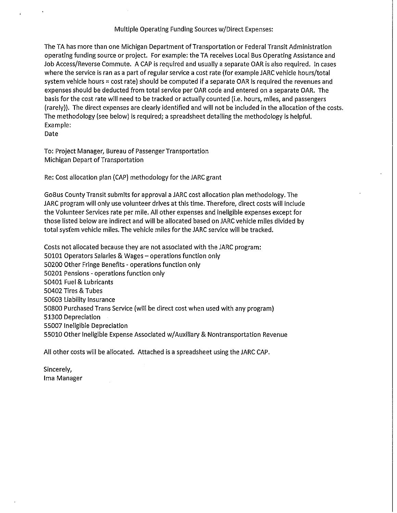### Multiple Operating Funding Sources w/Direct Expenses:

The TA has more than one Michigan Department of Transportation or Federal Transit Administration operating funding source or project. For example: the TA receives Local Bus Operating Assistance and Job Access/Reverse Commute. A CAP is required and usually a separate OAR is also required. In cases where the service is ran as a part of regular service a cost rate (for example JARC vehicle hours/total system vehicle hours  $=$  cost rate) should be computed if a separate OAR is required the revenues and expenses should be deducted from total service per OAR code and entered on a separate OAR. The basis for the cost rate will need to be tracked or actually counted (i.e. hours, miles, and passengers (rarely)). The direct expenses are clearly identified and will not be included in the allocation of the costs. The methodology (see below) is required; a spreadsheet detailing the methodology is helpful. Example:

Date

To: Project Manager, Bureau of Passenger Transportation Michigan Depart of Transportation

Re: Cost allocation plan (CAP) methodology for the JARC grant

GoBus County Transit submits for approval a JARC cost allocation plan methodology. The JARC program will only use volunteer drives at this time. Therefore, direct costs will include the Volunteer Services rate per mile. All other expenses and ineligible expenses except for those listed below are indirect and will be allocated based on JARC vehicle miles divided by total sysfem vehicle miles. The vehicle miles for the JARC service will be tracked.

Costs not allocated because they are not associated with the JARC program: 50101 Operators Salaries & Wages - operations function only 50200 Other Fringe Benefits - operations function only 50201 Pensions - operations function only 50401 Fuel & Lubricants 50402 Tires & Tubes 50603 Liability Insurance 50800 Purchased Trans Service (will be direct cost when used with any program) 51300 Depreciation 55007 Ineligible Depreciation 55010 Other Ineligible Expense Associated w/Auxiliary & Nontransportation Revenue

All other costs will be allocated. Attached is a spreadsheet using the JARC CAP.

Sincerely, Ima Manager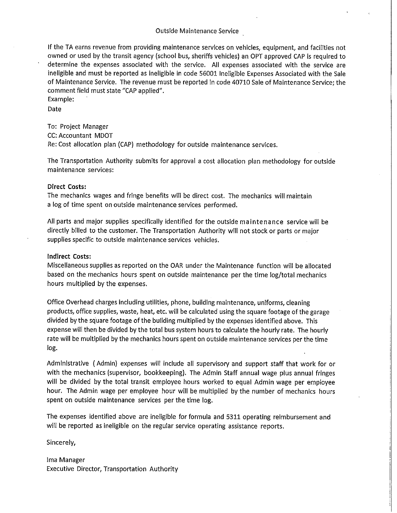Outside Maintenance Service

If the TA earns revenue from providing maintenance services on vehicles, equipment, and facilities not owned or used by the transit agency (school bus, sheriffs vehicles) an OPT approved CAP is required to determine the expenses associated with the service. All expenses associated with the service are ineligible and must be reported as ineligible in code 56001 Ineligible Expenses Associated with the Sale of Maintenance Service. The revenue must be reported in code 40710 Sale of Maintenance Service; the comment field must state "CAP applied".

Example:

Date

To: Project Manager

CC: Accountant MDOT

Re: Cost allocation plan (CAP) methodology for outside maintenance services.

The Transportation Authority submits for approval a cost allocation plan methodology for outside maintenance services:

#### Direct **Costs:**

The mechanics wages and fringe benefits will be direct cost. The mechanics will maintain a log of time spent on outside maintenance services performed.

All parts and major supplies specifically identified for the outside maintenance service will be directly billed to the customer. The Transportation Authority will not stock or parts or major supplies specific to outside maintenance services vehicles.

**Indirect Costs:** 

Miscellaneous supplies as reported on the OAR under the Maintenance function will be allocated based on the mechanics hours spent on outside maintenance per the time log/total mechanics hours multiplied by the expenses.

Office Overhead charges including utilities, phone, building maintenance, uniforms, cleaning products, office supplies, waste, heat, etc. will be calculated using the square footage of the garage divided by the square footage of the building multiplied by the expenses identified above. This expense will then be divided by the total bus system hours to calculate the hourly rate. The hourly rate will be multiplied by the mechanics hours spent on outside maintenance services per the time log.

Administrative ( Admin) expenses will include all supervisory and support staff that work for or with the mechanics (supervisor, bookkeeping). The Admin Staff annual wage plus annual fringes will be divided by the total transit employee hours worked to equal Admin wage per employee hour. The Admin wage per employee hour will be multiplied by the number of mechanics hours spent on outside maintenance services per the time log.

The expenses identified above are ineligible for formula and 5311 operating reimbursement and will be reported as ineligible on the regular service operating assistance reports.

Sincerely,

Ima Manager Executive Director, Transportation Authority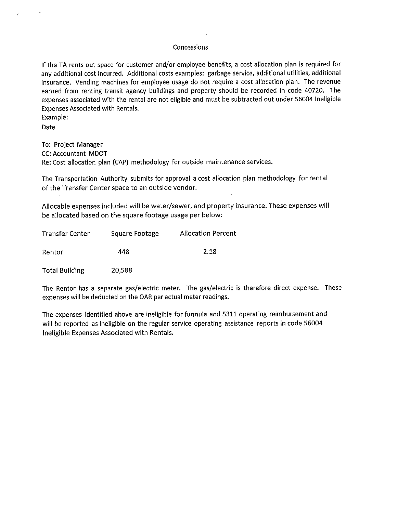#### Concessions

If the TA rents out space for customer and/or employee benefits, a cost allocation plan is required for any additional cost incurred. Additional costs examples: garbage service, additional utilities, additional insurance. Vending machines for employee usage do not require a cost allocation plan. The revenue earned from renting transit agency buildings and property should be recorded in code 40720. The expenses associated with the rental are not eligible and must be subtracted out under 56004 Ineligible Expenses Associated with Rentals.

Example:

Date

To: Project Manager CC: Accountant MDOT Re: Cost allocation plan (CAP) methodology for outside maintenance services.

The Transportation Authority submits for approval a cost allocation plan methodology for rental of the Transfer Center space to an outside vendor.

Allocable expenses included will be water/sewer, and property insurance. These expenses will be allocated based on the square footage usage per below:

| Transfer Center | Square Footage | <b>Allocation Percent</b> |
|-----------------|----------------|---------------------------|
| Rentor          | 448            | 2.18                      |

Total Building 20,588

The Rentor has a separate gas/electric meter. The gas/electric is therefore direct expense. These expenses will be deducted on the OAR per actual meter readings.

The expenses identified above are ineligible for formula and 5311 operating reimbursement and will be reported as ineligible on the regular service operating assistance reports in code 56004 Ineligible Expenses Associated with Rentals.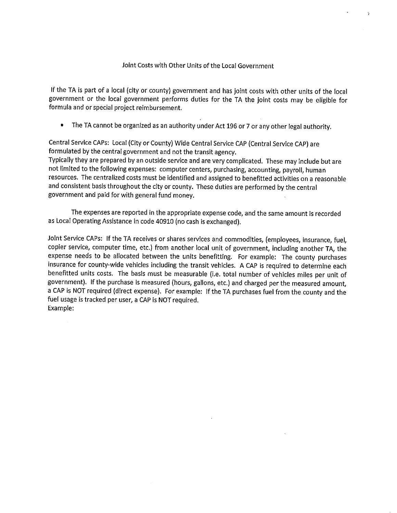### Joint Costs with Other Units of the Local Government

If the TA is part of a local (city or county) government and has joint costs with other units of the local government or the local government performs duties for the TA the joint costs may be eligible for formula and or special project reimbursement.

• The TA cannot be organized as an authority under Act 196 or 7 or any other legal authority.

Central Service CAPs: Local (City or County) Wide Central Service CAP (Central Service CAP) are formulated by the central government and not the transit agency.

Typically they are prepared by an outside service and are very complicated. These may include but are not limited to the following expenses: computer centers, purchasing, accounting, payroll, human resources. The centralized costs must be identified and assigned to benefitted activities on a reasonable and consistent basis throughout the city or county. These duties are performed by the central government and paid for with general fund money.

The expenses are reported in the appropriate expense code, and the same amount is recorded as Local Operating Assistance in code 40910 (no cash is exchanged).

Joint Service CAPs: If the TA receives or shares services and commodities, (employees, insurance, fuel, copier service, computer time, etc.) from another local unit of government, including another TA, the expense needs to be allocated between the units benefitting. For example: The county purchases insurance for county-wide vehicles including the transit vehicles. A CAP is required to determine each benefitted units costs. The basis must be measurable (i.e. total number of vehicles miles per unit of government). If the purchase is measured (hours, gallons, etc.) and charged per the measured amount, a CAP is NOT required (direct expense). For example: If the TA purchases fuel from the county and the fuel usage is tracked per user, a CAP is NOT required. Example: